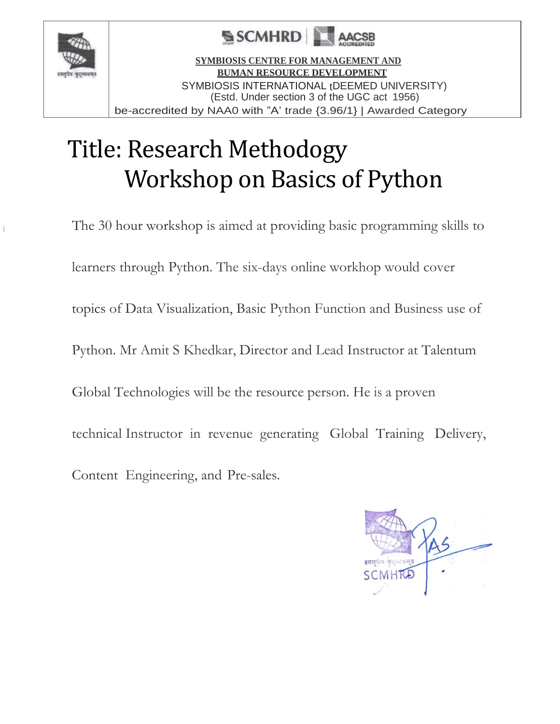

т



**SYMBIOSIS CENTRE FOR MANAGEMENT AND BUMAN RESOURCE DEVELOPMENT** SYMBIOSIS INTERNATIONAL tDEEMED UNIVERSITY) (Estd. Under section 3 of the UGC act 1956) be-accredited by NAA0 with "A' trade {3.96/1} | Awarded Category

### Title: Research Methodogy Workshop on Basics of Python

The 30 hour workshop is aimed at providing basic programming skills to learners through Python. The six-days online workhop would cover topics of Data Visualization, Basic Python Function and Business use of Python. Mr Amit S Khedkar, Director and Lead Instructor at Talentum Global Technologies will be the resource person. He is a proven technical Instructor in revenue generating Global Training Delivery, Content Engineering, and Pre-sales.

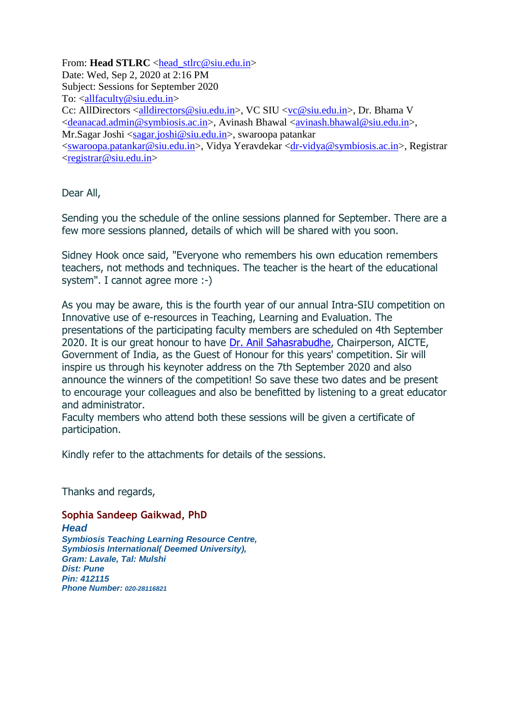From: **Head STLRC** <head stlrc@siu.edu.in> Date: Wed, Sep 2, 2020 at 2:16 PM Subject: Sessions for September 2020 To: [<allfaculty@siu.edu.in>](mailto:allfaculty@siu.edu.in) Cc: AllDirectors [<alldirectors@siu.edu.in>](mailto:alldirectors@siu.edu.in), VC SIU [<vc@siu.edu.in>](mailto:vc@siu.edu.in), Dr. Bhama V [<deanacad.admin@symbiosis.ac.in>](mailto:deanacad.admin@symbiosis.ac.in), Avinash Bhawal [<avinash.bhawal@siu.edu.in>](mailto:avinash.bhawal@siu.edu.in), Mr.Sagar Joshi [<sagar.joshi@siu.edu.in>](mailto:sagar.joshi@siu.edu.in), swaroopa patankar [<swaroopa.patankar@siu.edu.in>](mailto:swaroopa.patankar@siu.edu.in), Vidya Yeravdekar [<dr-vidya@symbiosis.ac.in>](mailto:dr-vidya@symbiosis.ac.in), Registrar [<registrar@siu.edu.in>](mailto:registrar@siu.edu.in)

Dear All,

Sending you the schedule of the online sessions planned for September. There are a few more sessions planned, details of which will be shared with you soon.

Sidney Hook once said, "Everyone who remembers his own education remembers teachers, not methods and techniques. The teacher is the heart of the educational system". I cannot agree more :-)

As you may be aware, this is the fourth year of our annual Intra-SIU competition on Innovative use of e-resources in Teaching, Learning and Evaluation. The presentations of the participating faculty members are scheduled on 4th September 2020. It is our great honour to have [Dr. Anil Sahasrabudhe,](https://www.aicte-india.org/leadership/prof-anil-d-sahasrabudhe) Chairperson, AICTE, Government of India, as the Guest of Honour for this years' competition. Sir will inspire us through his keynoter address on the 7th September 2020 and also announce the winners of the competition! So save these two dates and be present to encourage your colleagues and also be benefitted by listening to a great educator and administrator.

Faculty members who attend both these sessions will be given a certificate of participation.

Kindly refer to the attachments for details of the sessions.

Thanks and regards,

**Sophia Sandeep Gaikwad, PhD** *Head Symbiosis Teaching Learning Resource Centre, Symbiosis International( Deemed University), Gram: Lavale, Tal: Mulshi Dist: Pune Pin: 412115 Phone Number: 020-28116821*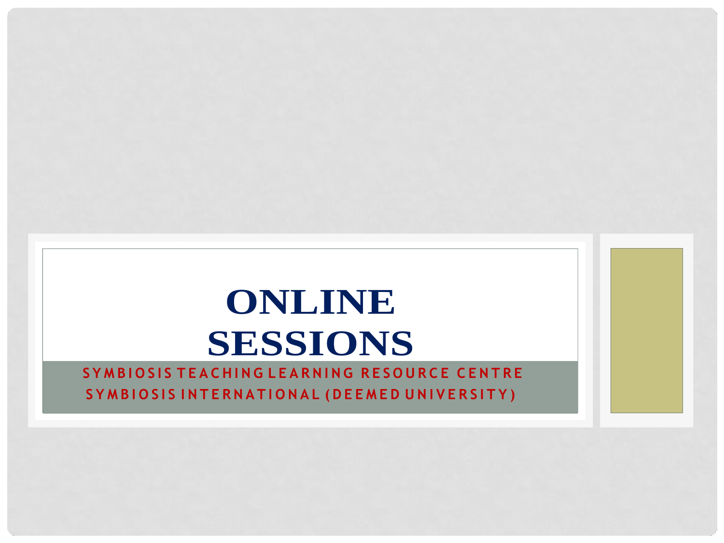# **ONLINE SESSIONS**

#### SYMBIOSIS TEACHING LEARNING RESOURCE CENTRE SYMBIOSIS INTERNATIONAL (DEEMED UNIVERSITY)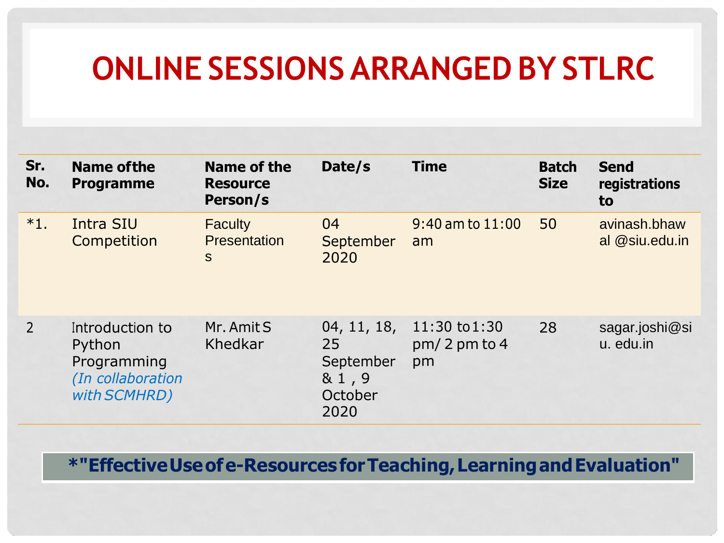### **ONLINE SESSIONS ARRANGED BY STLRC**

| Sr.<br>No.     | <b>Name of the</b><br><b>Programme</b>                                        | Name of the<br><b>Resource</b><br>Person/s | Date/s                                                     | <b>Time</b>                               | <b>Batch</b><br><b>Size</b> | <b>Send</b><br>registrations<br>to |
|----------------|-------------------------------------------------------------------------------|--------------------------------------------|------------------------------------------------------------|-------------------------------------------|-----------------------------|------------------------------------|
| $*1.$          | Intra SIU<br>Competition                                                      | <b>Faculty</b><br><b>Presentation</b><br>S | 04<br>September<br>2020                                    | $9:40$ am to $11:00$<br>am                | 50                          | avinash.bhaw<br>al @siu.edu.in     |
| $\overline{2}$ | Introduction to<br>Python<br>Programming<br>(In collaboration<br>with SCMHRD) | Mr. Amit S<br>Khedkar                      | 04, 11, 18,<br>25<br>September<br>& 1,9<br>October<br>2020 | $11:30$ to $1:30$<br>$pm/2$ pm to 4<br>pm | 28                          | sagar.joshi@si<br>u. edu.in        |

**\*"EffectiveUseofe-ResourcesforTeaching,LearningandEvaluation"**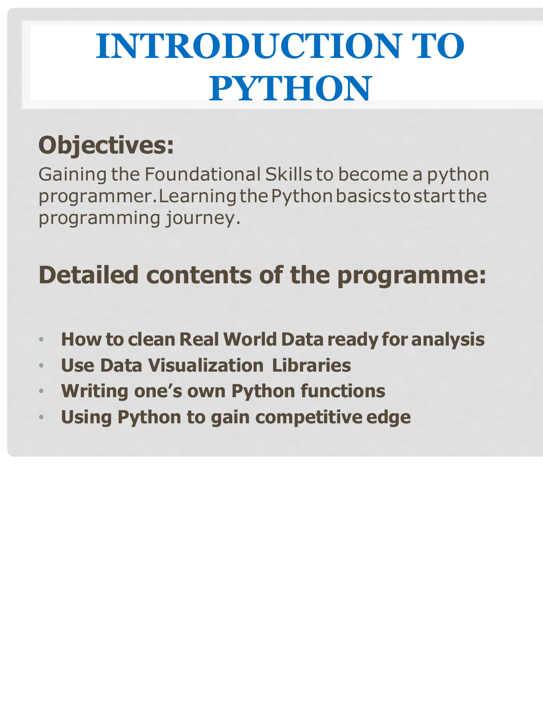# **INTRODUCTION TO PYTHON**

#### **Objectives:**

Gaining the Foundational Skills to become a python programmer. Learning the Python basics to start the programming journey.

#### **Detailed contents of the programme:**

- **How to clean Real World Data ready for analysis**
- **Use Data Visualization Libraries**
- **Writing one's own Python functions**
- **Using Python to gain competitive edge**